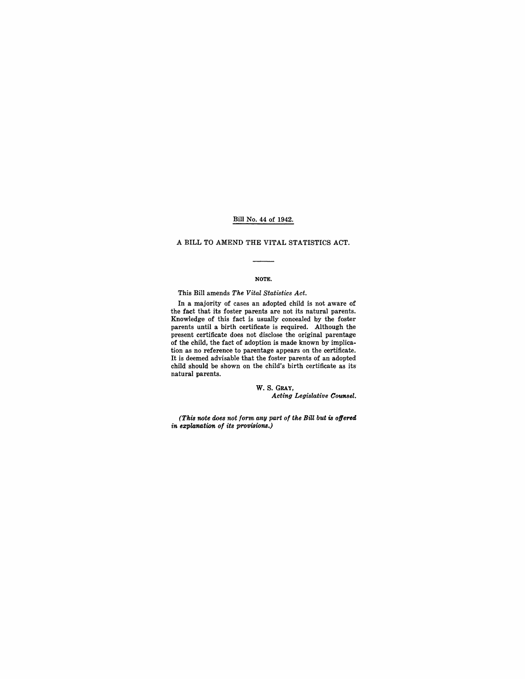#### Bill No. 44 of 1942.

#### A BILL TO AMEND THE VITAL STATISTICS ACT.

#### NOTE.

This Bill amends *The Vital Statistics Act.* 

In a majority of cases an adopted child is not aware of the fact that its foster parents are not its natural parents. Knowledge of this fact is usually concealed by the foster parents until a birth certificate is required. Although the present certificate does not disclose the original parentage of the child, the fact of adoption is made known by implication as no reference to parentage appears on the certificate. It is deemed advisable that the foster parents of an adopted child should be shown on the child's birth certificate as its' natural parents.

> W. S. GRAY,  $Acting$  *Legislative Counsel.*

*(This note does not form any part of the BiU but is offered in explaMtion of its provisions.)*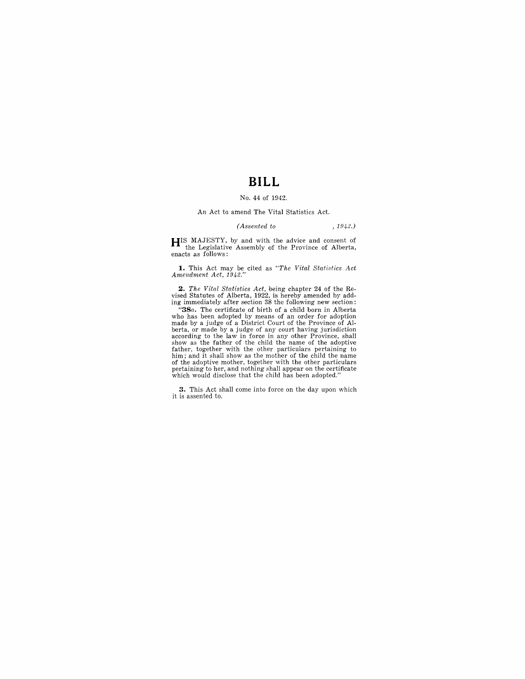# **BILL**

#### No. 44 of 1942.

#### An Act to amend The Vital Statistics Act.

#### *(Assented to* , 1942.)

**HIS** MAJESTY, by and with the advice and consent of the Legislative Assembly of the Province of Alberta, enacts as follows:

**1.** This Act may be cited as "The Vital Statistics Act Amendment Act, 1942."

**2.** *The Vital Statistics Act,* being chapter 24 of the Revised Statutes of Alberta, 1922, is hereby amended by adding immediately after section 38 the following new section:

*"38a.* The certificate of birth of a child born in Alberta who has been adopted by means of an order for adoption<br>made by a judge of a District Court of the Province of Al-<br>berta, or made by a judge of any court having jurisdiction<br>according to the law in force in any other Provin pertaining to her, and nothing shall appear on the certificate which would disclose that the child has been adopted."

**3.** This Act shall come into force on the day upon which it is assented to.